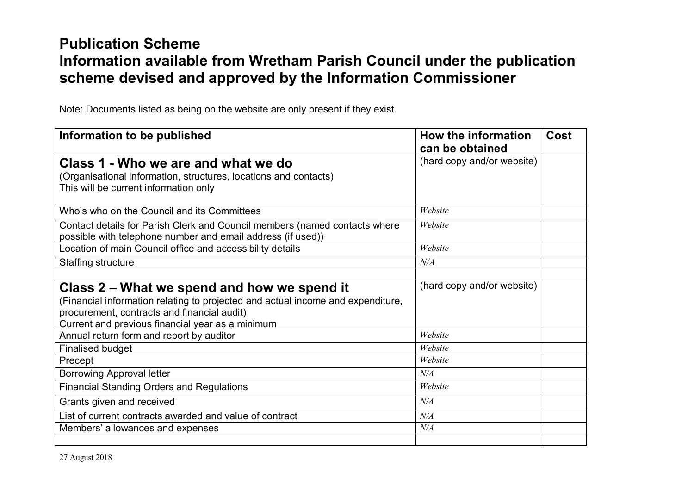## **Publication Scheme Information available from Wretham Parish Council under the publication scheme devised and approved by the Information Commissioner**

Note: Documents listed as being on the website are only present if they exist.

| Information to be published                                                                                                               | How the information<br>can be obtained | <b>Cost</b> |
|-------------------------------------------------------------------------------------------------------------------------------------------|----------------------------------------|-------------|
| Class 1 - Who we are and what we do                                                                                                       | (hard copy and/or website)             |             |
| (Organisational information, structures, locations and contacts)<br>This will be current information only                                 |                                        |             |
| Who's who on the Council and its Committees                                                                                               | Website                                |             |
| Contact details for Parish Clerk and Council members (named contacts where<br>possible with telephone number and email address (if used)) | Website                                |             |
| Location of main Council office and accessibility details                                                                                 | Website                                |             |
| Staffing structure                                                                                                                        | N/A                                    |             |
|                                                                                                                                           |                                        |             |
| Class 2 – What we spend and how we spend it                                                                                               | (hard copy and/or website)             |             |
| (Financial information relating to projected and actual income and expenditure,                                                           |                                        |             |
| procurement, contracts and financial audit)                                                                                               |                                        |             |
| Current and previous financial year as a minimum                                                                                          |                                        |             |
| Annual return form and report by auditor                                                                                                  | Website                                |             |
| <b>Finalised budget</b>                                                                                                                   | Website                                |             |
| Precept                                                                                                                                   | Website                                |             |
| <b>Borrowing Approval letter</b>                                                                                                          | N/A                                    |             |
| <b>Financial Standing Orders and Regulations</b>                                                                                          | Website                                |             |
| Grants given and received                                                                                                                 | N/A                                    |             |
| List of current contracts awarded and value of contract                                                                                   | N/A                                    |             |
| Members' allowances and expenses                                                                                                          | N/A                                    |             |
|                                                                                                                                           |                                        |             |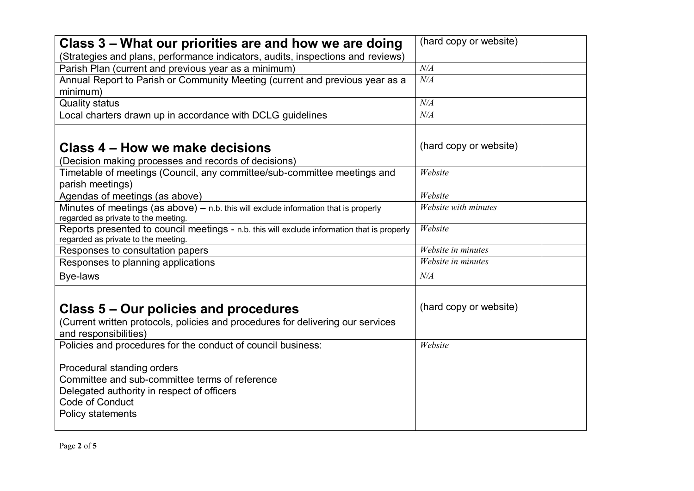| Class 3 – What our priorities are and how we are doing                                      | (hard copy or website) |
|---------------------------------------------------------------------------------------------|------------------------|
| (Strategies and plans, performance indicators, audits, inspections and reviews)             |                        |
| Parish Plan (current and previous year as a minimum)                                        | N/A                    |
| Annual Report to Parish or Community Meeting (current and previous year as a                | $N\!/\!A$              |
| minimum)                                                                                    |                        |
| <b>Quality status</b>                                                                       | $N\!/\!A$              |
| Local charters drawn up in accordance with DCLG guidelines                                  | N/A                    |
|                                                                                             |                        |
| Class 4 – How we make decisions                                                             | (hard copy or website) |
| (Decision making processes and records of decisions)                                        |                        |
| Timetable of meetings (Council, any committee/sub-committee meetings and                    | Website                |
| parish meetings)                                                                            |                        |
| Agendas of meetings (as above)                                                              | Website                |
| Minutes of meetings (as above) - n.b. this will exclude information that is properly        | Website with minutes   |
| regarded as private to the meeting.                                                         |                        |
| Reports presented to council meetings - n.b. this will exclude information that is properly | Website                |
| regarded as private to the meeting.                                                         | Website in minutes     |
| Responses to consultation papers                                                            | Website in minutes     |
| Responses to planning applications                                                          |                        |
| <b>Bye-laws</b>                                                                             | N/A                    |
|                                                                                             |                        |
| Class 5 – Our policies and procedures                                                       | (hard copy or website) |
| (Current written protocols, policies and procedures for delivering our services             |                        |
| and responsibilities)                                                                       |                        |
| Policies and procedures for the conduct of council business:                                | Website                |
|                                                                                             |                        |
| Procedural standing orders                                                                  |                        |
| Committee and sub-committee terms of reference                                              |                        |
| Delegated authority in respect of officers                                                  |                        |
| Code of Conduct                                                                             |                        |
| <b>Policy statements</b>                                                                    |                        |
|                                                                                             |                        |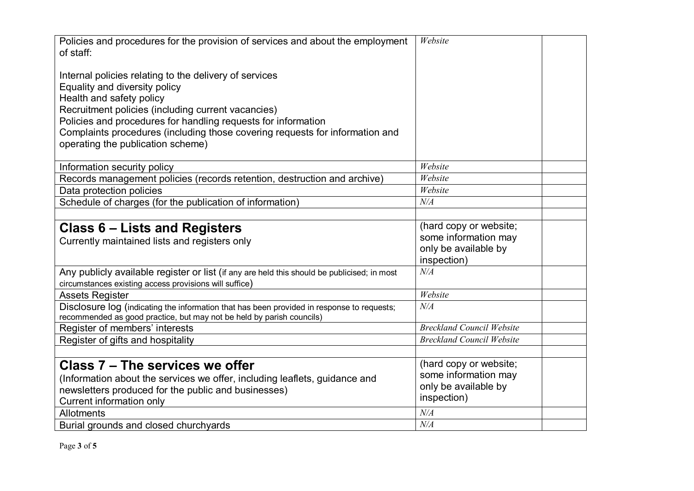| Policies and procedures for the provision of services and about the employment<br>of staff:                                                                         | Website                          |  |
|---------------------------------------------------------------------------------------------------------------------------------------------------------------------|----------------------------------|--|
| Internal policies relating to the delivery of services<br>Equality and diversity policy                                                                             |                                  |  |
| Health and safety policy                                                                                                                                            |                                  |  |
| Recruitment policies (including current vacancies)                                                                                                                  |                                  |  |
| Policies and procedures for handling requests for information                                                                                                       |                                  |  |
| Complaints procedures (including those covering requests for information and                                                                                        |                                  |  |
| operating the publication scheme)                                                                                                                                   |                                  |  |
| Information security policy                                                                                                                                         | Website                          |  |
| Records management policies (records retention, destruction and archive)                                                                                            | Website                          |  |
| Data protection policies                                                                                                                                            | Website                          |  |
| Schedule of charges (for the publication of information)                                                                                                            | N/A                              |  |
|                                                                                                                                                                     |                                  |  |
| <b>Class 6 – Lists and Registers</b>                                                                                                                                | (hard copy or website;           |  |
| Currently maintained lists and registers only                                                                                                                       | some information may             |  |
|                                                                                                                                                                     | only be available by             |  |
|                                                                                                                                                                     | inspection)                      |  |
| Any publicly available register or list (if any are held this should be publicised; in most                                                                         | N/A                              |  |
| circumstances existing access provisions will suffice)                                                                                                              | Website                          |  |
| <b>Assets Register</b>                                                                                                                                              | N/A                              |  |
| Disclosure log (indicating the information that has been provided in response to requests;<br>recommended as good practice, but may not be held by parish councils) |                                  |  |
| Register of members' interests                                                                                                                                      | <b>Breckland Council Website</b> |  |
| Register of gifts and hospitality                                                                                                                                   | <b>Breckland Council Website</b> |  |
|                                                                                                                                                                     |                                  |  |
| Class 7 – The services we offer                                                                                                                                     | (hard copy or website;           |  |
| (Information about the services we offer, including leaflets, guidance and                                                                                          | some information may             |  |
| newsletters produced for the public and businesses)                                                                                                                 | only be available by             |  |
| Current information only                                                                                                                                            | inspection)                      |  |
| <b>Allotments</b>                                                                                                                                                   | N/A                              |  |
| Burial grounds and closed churchyards                                                                                                                               | N/A                              |  |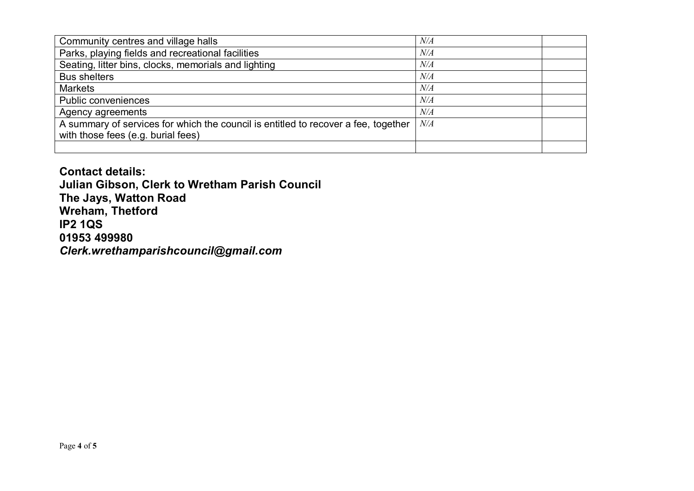| Community centres and village halls                                                | N/A |  |
|------------------------------------------------------------------------------------|-----|--|
| Parks, playing fields and recreational facilities                                  | N/A |  |
| Seating, litter bins, clocks, memorials and lighting                               | N/A |  |
| <b>Bus shelters</b>                                                                | N/A |  |
| <b>Markets</b>                                                                     | N/A |  |
| <b>Public conveniences</b>                                                         | N/A |  |
| Agency agreements                                                                  | N/A |  |
| A summary of services for which the council is entitled to recover a fee, together | N/A |  |
| with those fees (e.g. burial fees)                                                 |     |  |
|                                                                                    |     |  |

**Contact details: Julian Gibson, Clerk to Wretham Parish Council The Jays, Watton Road Wreham, Thetford IP2 1QS 01953 499980** *Clerk.wrethamparishcouncil@gmail.com*